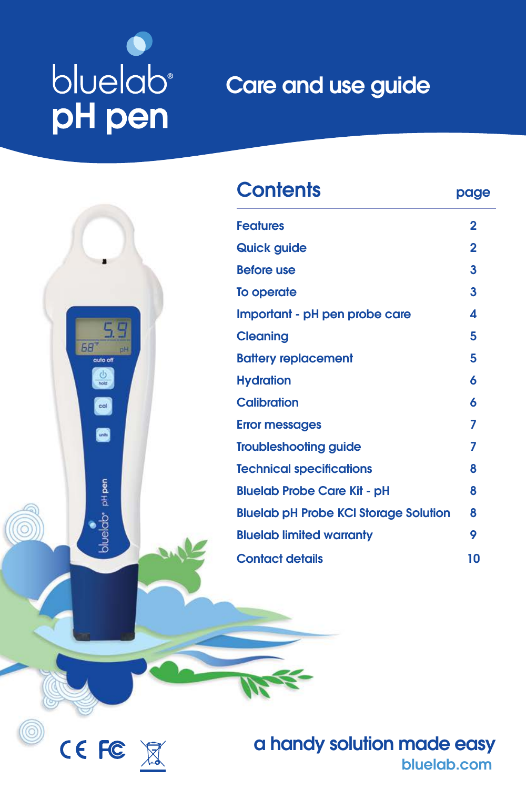# bluelab<sup>®</sup> pH pen

CEFC X

## Care and use guide



a handy solution made easy [bluelab.com](http://www.getbluelab.com)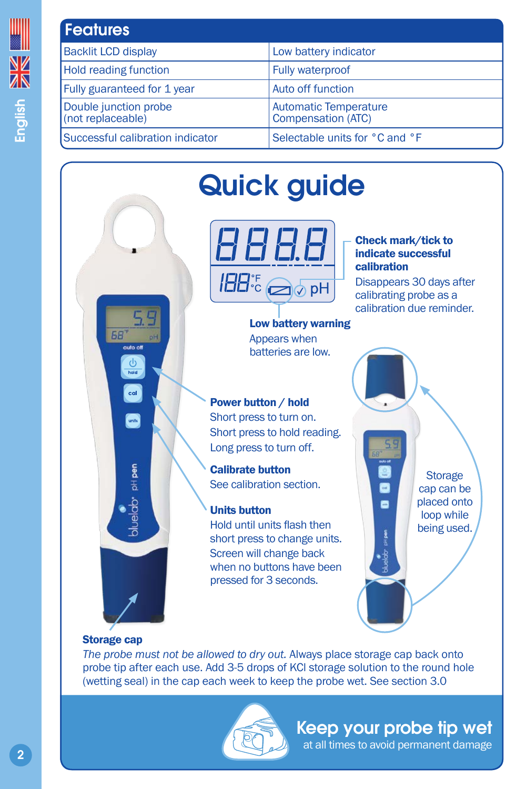<span id="page-1-0"></span>

| <b>Features</b>                            |                                                    |
|--------------------------------------------|----------------------------------------------------|
| <b>Backlit LCD display</b>                 | Low battery indicator                              |
| <b>Hold reading function</b>               | <b>Fully waterproof</b>                            |
| Fully guaranteed for 1 year                | <b>Auto off function</b>                           |
| Double junction probe<br>(not replaceable) | <b>Automatic Temperature</b><br>Compensation (ATC) |
| Successful calibration indicator           | Selectable units for °C and °F                     |



## Quick guide



#### Check mark/tick to indicate successful calibration

Disappears 30 days after calibrating probe as a calibration due reminder.

Low battery warning Appears when batteries are low.

## Power button / hold

Short press to turn on. Short press to hold reading. Long press to turn off.

Calibrate button See calibration section.

### Units button

Hold until units flash then short press to change units. Screen will change back when no buttons have been pressed for 3 seconds.

**Storage** cap can be placed onto loop while being used.

O a

ь

#### Storage cap

*The probe must not be allowed to dry out.* Always place storage cap back onto probe tip after each use. Add 3-5 drops of KCl storage solution to the round hole (wetting seal) in the cap each week to keep the probe wet. See section 3.0

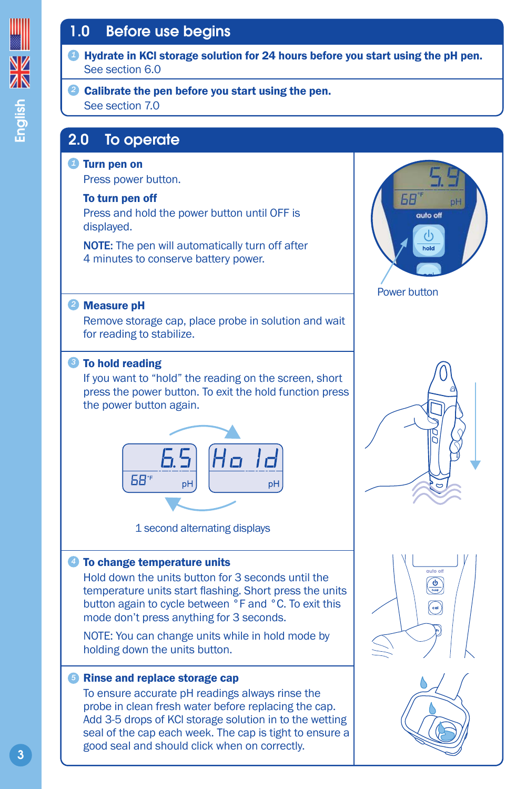## <span id="page-2-0"></span>1.0 Before use begins



#### Calibrate the pen before you start using the pen. *2* See section 7.0

## 2.0 To operate

#### Turn pen on *1*

Press power button.

#### To turn pen off

Press and hold the power button until OFF is displayed.

NOTE: The pen will automatically turn off after 4 minutes to conserve battery power.

#### Measure pH *2*

Remove storage cap, place probe in solution and wait for reading to stabilize.

#### **3** To hold reading

If you want to "hold" the reading on the screen, short press the power button. To exit the hold function press the power button again.



1 second alternating displays

#### To change temperature units *4*

Hold down the units button for 3 seconds until the temperature units start flashing. Short press the units button again to cycle between °F and °C. To exit this mode don't press anything for 3 seconds.

NOTE: You can change units while in hold mode by holding down the units button.

#### *5* Rinse and replace storage cap

To ensure accurate pH readings always rinse the probe in clean fresh water before replacing the cap. Add 3-5 drops of KCl storage solution in to the wetting seal of the cap each week. The cap is tight to ensure a good seal and should click when on correctly.



Power button





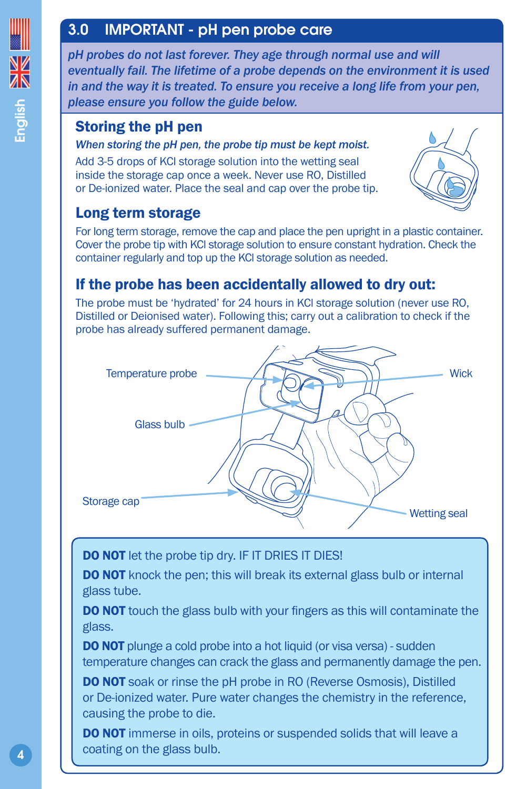## <span id="page-3-0"></span>3.0 IMPORTANT - pH pen probe care

*pH probes do not last forever. They age through normal use and will eventually fail. The lifetime of a probe depends on the environment it is used in and the way it is treated. To ensure you receive a long life from your pen, please ensure you follow the guide below.* 

## Storing the pH pen

#### *When storing the pH pen, the probe tip must be kept moist.*

Add 3-5 drops of KCl storage solution into the wetting seal inside the storage cap once a week. Never use RO, Distilled or De-ionized water. Place the seal and cap over the probe tip.



## Long term storage

For long term storage, remove the cap and place the pen upright in a plastic container. Cover the probe tip with KCl storage solution to ensure constant hydration. Check the container regularly and top up the KCl storage solution as needed.

## If the probe has been accidentally allowed to dry out:

The probe must be 'hydrated' for 24 hours in KCl storage solution (never use RO, Distilled or Deionised water). Following this; carry out a calibration to check if the probe has already suffered permanent damage.



DO NOT let the probe tip dry. IF IT DRIES IT DIES!

**DO NOT** knock the pen; this will break its external glass bulb or internal glass tube.

**DO NOT** touch the glass bulb with your fingers as this will contaminate the glass.

**DO NOT** plunge a cold probe into a hot liquid (or visa versa) - sudden temperature changes can crack the glass and permanently damage the pen.

DO NOT soak or rinse the pH probe in RO (Reverse Osmosis), Distilled or De-ionized water. Pure water changes the chemistry in the reference, causing the probe to die.

**DO NOT** immerse in oils, proteins or suspended solids that will leave a coating on the glass bulb.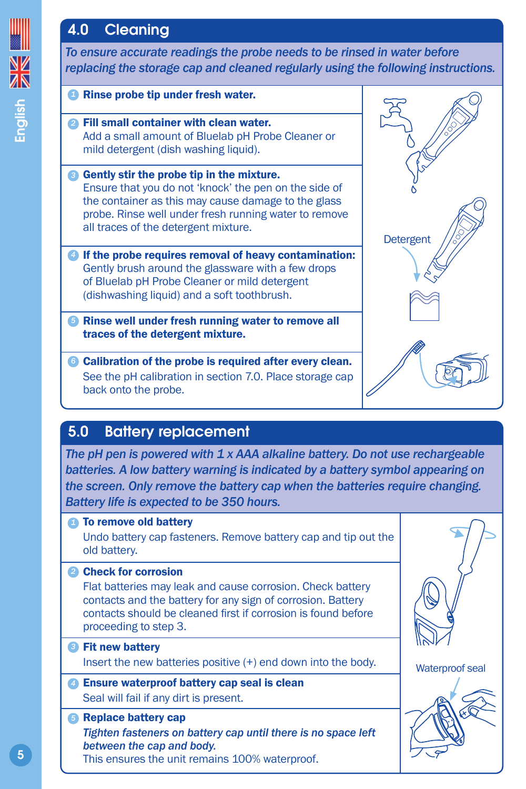## <span id="page-4-0"></span>4.0 Cleaning



5.0 Battery replacement

*The pH pen is powered with 1 x AAA alkaline battery. Do not use rechargeable batteries. A low battery warning is indicated by a battery symbol appearing on the screen. Only remove the battery cap when the batteries require changing. Battery life is expected to be 350 hours.*

**1** To remove old battery Undo battery cap fasteners. Remove battery cap and tip out the old battery.

#### 2 Check for corrosion

Flat batteries may leak and cause corrosion. Check battery contacts and the battery for any sign of corrosion. Battery contacts should be cleaned first if corrosion is found before proceeding to step 3.

- Fit new battery *3* Insert the new batteries positive (+) end down into the body.
- Ensure waterproof battery cap seal is clean *4* Seal will fail if any dirt is present.
- *5* Replace battery cap *Tighten fasteners on battery cap until there is no space left between the cap and body.* This ensures the unit remains 100% waterproof.



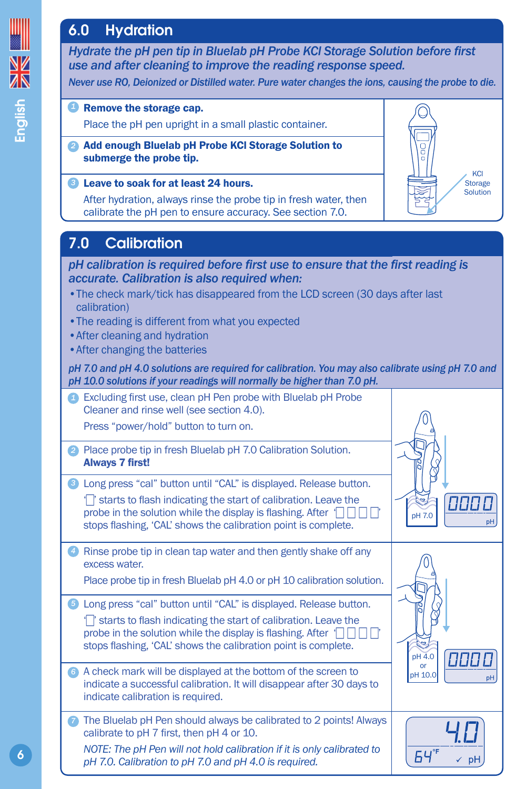## <span id="page-5-0"></span>6.0 Hydration

*Hydrate the pH pen tip in Bluelab pH Probe KCl Storage Solution before first use and after cleaning to improve the reading response speed.*

*Never use RO, Deionized or Distilled water. Pure water changes the ions, causing the probe to die.*

**KCl Storage Solution** 

**P** Remove the storage cap.

Place the pH pen upright in a small plastic container.

Add enough Bluelab pH Probe KCl Storage Solution to *2* submerge the probe tip.

#### Leave to soak for at least 24 hours. *3*

After hydration, always rinse the probe tip in fresh water, then calibrate the pH pen to ensure accuracy. See section 7.0.

## 7.0 Calibration

*pH calibration is required before first use to ensure that the first reading is accurate. Calibration is also required when:*

- •The check mark/tick has disappeared from the LCD screen (30 days after last calibration)
- •The reading is different from what you expected
- •After cleaning and hydration
- •After changing the batteries

*pH 7.0 and pH 4.0 solutions are required for calibration. You may also calibrate using pH 7.0 and pH 10.0 solutions if your readings will normally be higher than 7.0 pH.*

|                   | Excluding first use, clean pH Pen probe with Bluelab pH Probe<br>Cleaner and rinse well (see section 4.0).<br>Press "power/hold" button to turn on.                                                                                                                     |                            |
|-------------------|-------------------------------------------------------------------------------------------------------------------------------------------------------------------------------------------------------------------------------------------------------------------------|----------------------------|
| 21                | Place probe tip in fresh Bluelab pH 7.0 Calibration Solution.<br><b>Always 7 first!</b>                                                                                                                                                                                 |                            |
| 31                | Long press "cal" button until "CAL" is displayed. Release button.<br>starts to flash indicating the start of calibration. Leave the<br>probe in the solution while the display is flashing. After 1<br>stops flashing, 'CAL' shows the calibration point is complete.   | pH 7.0<br>pН               |
|                   | Rinse probe tip in clean tap water and then gently shake off any<br>excess water.<br>Place probe tip in fresh Bluelab pH 4.0 or pH 10 calibration solution.                                                                                                             |                            |
| $\left( 5\right)$ | Long press "cal" button until "CAL" is displayed. Release button.<br>T starts to flash indicating the start of calibration. Leave the<br>probe in the solution while the display is flashing. After [<br>stops flashing, 'CAL' shows the calibration point is complete. | pH 4.0                     |
|                   | • A check mark will be displayed at the bottom of the screen to<br>indicate a successful calibration. It will disappear after 30 days to<br>indicate calibration is required.                                                                                           | <b>or</b><br>pH 10.0<br>рH |
| 7                 | The Bluelab pH Pen should always be calibrated to 2 points! Always<br>calibrate to pH 7 first, then pH 4 or 10.<br>NOTE: The pH Pen will not hold calibration if it is only calibrated to<br>pH 7.0. Calibration to pH 7.0 and pH 4.0 is required.                      | pH                         |

English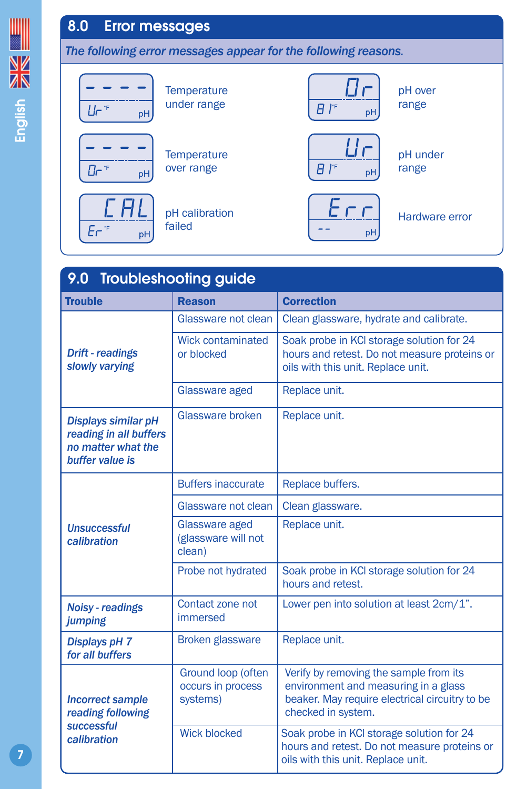## <span id="page-6-0"></span>8.0 Error messages

*The following error messages appear for the following reasons.*



| 9.0 Troubleshooting guide                                                                     |                                                     |                                                                                                                                                        |  |  |
|-----------------------------------------------------------------------------------------------|-----------------------------------------------------|--------------------------------------------------------------------------------------------------------------------------------------------------------|--|--|
| <b>Trouble</b>                                                                                | <b>Reason</b>                                       | <b>Correction</b>                                                                                                                                      |  |  |
|                                                                                               | Glassware not clean                                 | Clean glassware, hydrate and calibrate.                                                                                                                |  |  |
| <b>Drift</b> - readings<br>slowly varying                                                     | <b>Wick contaminated</b><br>or blocked              | Soak probe in KCI storage solution for 24<br>hours and retest. Do not measure proteins or<br>oils with this unit. Replace unit.                        |  |  |
|                                                                                               | Glassware aged                                      | Replace unit.                                                                                                                                          |  |  |
| <b>Displays similar pH</b><br>reading in all buffers<br>no matter what the<br>buffer value is | Glassware broken                                    | Replace unit.                                                                                                                                          |  |  |
|                                                                                               | <b>Buffers inaccurate</b>                           | Replace buffers.                                                                                                                                       |  |  |
|                                                                                               | Glassware not clean                                 | Clean glassware.                                                                                                                                       |  |  |
| <b>Unsuccessful</b><br>calibration                                                            | Glassware aged<br>(glassware will not<br>clean)     | Replace unit.                                                                                                                                          |  |  |
|                                                                                               | Probe not hydrated                                  | Soak probe in KCI storage solution for 24<br>hours and retest.                                                                                         |  |  |
| <b>Noisy - readings</b><br>jumping                                                            | Contact zone not<br>immersed                        | Lower pen into solution at least 2cm/1".                                                                                                               |  |  |
| <b>Displays pH 7</b><br>for all buffers                                                       | <b>Broken glassware</b>                             | Replace unit.                                                                                                                                          |  |  |
| <b>Incorrect sample</b><br>reading following<br>successful                                    | Ground loop (often<br>occurs in process<br>systems) | Verify by removing the sample from its<br>environment and measuring in a glass<br>beaker. May require electrical circuitry to be<br>checked in system. |  |  |
| calibration                                                                                   | <b>Wick blocked</b>                                 | Soak probe in KCI storage solution for 24<br>hours and retest. Do not measure proteins or<br>oils with this unit. Replace unit.                        |  |  |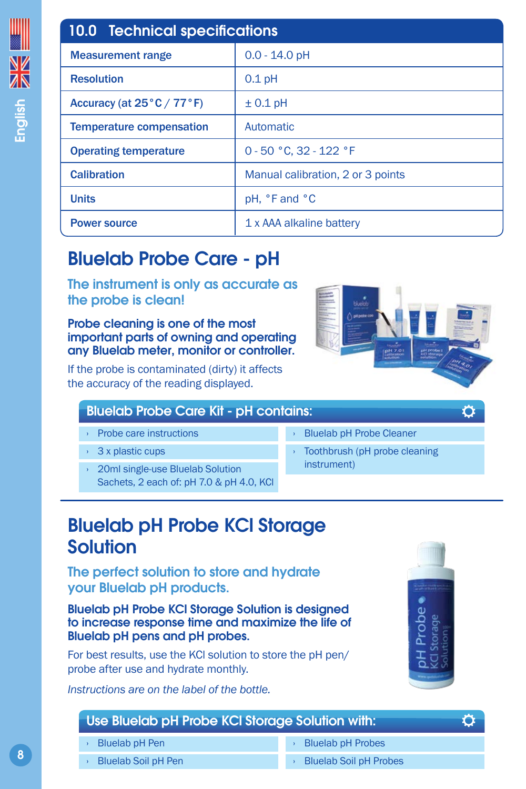<span id="page-7-0"></span>

| <b>10.0 Technical specifications</b>           |                                   |  |
|------------------------------------------------|-----------------------------------|--|
| Measurement range                              | $0.0 - 14.0$ pH                   |  |
| <b>Resolution</b>                              | $0.1$ pH                          |  |
| Accuracy (at $25^{\circ}$ C / 77 $^{\circ}$ F) | $± 0.1$ pH                        |  |
| <b>Temperature compensation</b>                | Automatic                         |  |
| <b>Operating temperature</b>                   | 0 - 50 °C. 32 - 122 °F            |  |
| <b>Calibration</b>                             | Manual calibration, 2 or 3 points |  |
| <b>Units</b>                                   | pH, °F and °C                     |  |
| <b>Power source</b>                            | 1 x AAA alkaline battery          |  |

## Bluelab Probe Care - pH

The instrument is only as accurate as the probe is clean!

Probe cleaning is one of the most important parts of owning and operating any Bluelab meter, monitor or controller.

If the probe is contaminated (dirty) it affects the accuracy of the reading displayed.

### Bluelab Probe Care Kit - pH contains:

- › Probe care instructions
- › 3 x plastic cups
- › 20ml single-use Bluelab Solution Sachets, 2 each of: pH 7.0 & pH 4.0, KCl
- › Bluelab pH Probe Cleaner
- Toothbrush (pH probe cleaning instrument)

## Bluelab pH Probe KCl Storage Solution

The perfect solution to store and hydrate your Bluelab pH products.

Bluelab pH Probe KCl Storage Solution is designed to increase response time and maximize the life of Bluelab pH pens and pH probes.

For best results, use the KCl solution to store the pH pen/ probe after use and hydrate monthly.

*Instructions are on the label of the bottle.*



Ö

Ö

## Use Bluelab pH Probe KCl Storage Solution with:

- › Bluelab pH Pen
- **Bluelab Soil pH Pen**
- **Bluelab pH Probes**
- **Bluelab Soil pH Probes**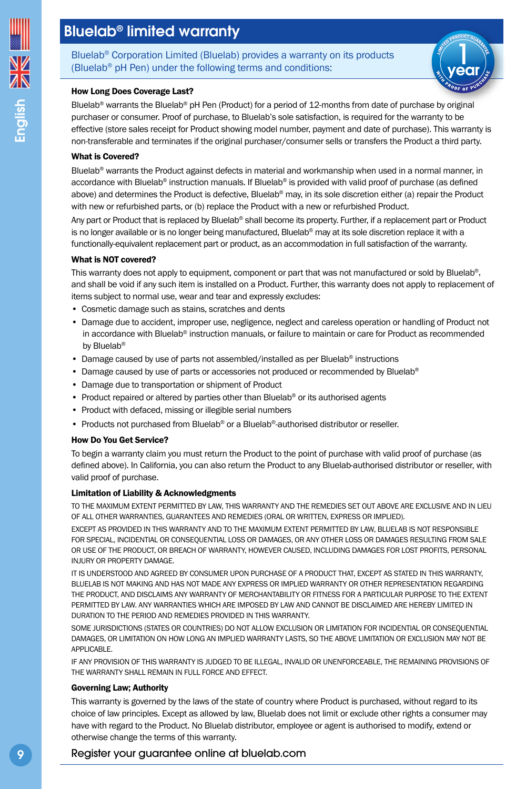## <span id="page-8-0"></span>Bluelab® limited warranty

Bluelab® Corporation Limited (Bluelab) provides a warranty on its products (Bluelab® pH Pen) under the following terms and conditions:



#### How Long Does Coverage Last?

Bluelab® warrants the Bluelab® pH Pen (Product) for a period of 12-months from date of purchase by original purchaser or consumer. Proof of purchase, to Bluelab's sole satisfaction, is required for the warranty to be effective (store sales receipt for Product showing model number, payment and date of purchase). This warranty is non-transferable and terminates if the original purchaser/consumer sells or transfers the Product a third party.

#### What is Covered?

Bluelab<sup>®</sup> warrants the Product against defects in material and workmanship when used in a normal manner, in accordance with Bluelab® instruction manuals. If Bluelab® is provided with valid proof of purchase (as defined above) and determines the Product is defective. Bluelab<sup>®</sup> may, in its sole discretion either (a) repair the Product with new or refurbished parts, or (b) replace the Product with a new or refurbished Product.

Any part or Product that is replaced by Bluelab® shall become its property. Further, if a replacement part or Product is no longer available or is no longer being manufactured, Bluelab® may at its sole discretion replace it with a functionally-equivalent replacement part or product, as an accommodation in full satisfaction of the warranty.

#### What is NOT covered?

This warranty does not apply to equipment, component or part that was not manufactured or sold by Bluelab®. and shall be void if any such item is installed on a Product. Further, this warranty does not apply to replacement of items subject to normal use, wear and tear and expressly excludes:

- Cosmetic damage such as stains, scratches and dents
- Damage due to accident, improper use, negligence, neglect and careless operation or handling of Product not in accordance with Bluelab® instruction manuals, or failure to maintain or care for Product as recommended by Bluelab®
- Damage caused by use of parts not assembled/installed as per Bluelab® instructions
- Damage caused by use of parts or accessories not produced or recommended by Bluelab®
- Damage due to transportation or shipment of Product
- Product repaired or altered by parties other than Bluelab® or its authorised agents
- Product with defaced, missing or illegible serial numbers
- Products not purchased from Bluelab® or a Bluelab®-authorised distributor or reseller.

#### How Do You Get Service?

To begin a warranty claim you must return the Product to the point of purchase with valid proof of purchase (as defined above). In California, you can also return the Product to any Bluelab-authorised distributor or reseller, with valid proof of purchase.

#### Limitation of Liability & Acknowledgments

TO THE MAXIMUM EXTENT PERMITTED BY LAW, THIS WARRANTY AND THE REMEDIES SET OUT ABOVE ARE EXCLUSIVE AND IN LIEU OF ALL OTHER WARRANTIES, GUARANTEES AND REMEDIES (ORAL OR WRITTEN, EXPRESS OR IMPLIED).

EXCEPT AS PROVIDED IN THIS WARRANTY AND TO THE MAXIMUM EXTENT PERMITTED BY LAW, BLUELAB IS NOT RESPONSIBLE FOR SPECIAL, INCIDENTIAL OR CONSEQUENTIAL LOSS OR DAMAGES, OR ANY OTHER LOSS OR DAMAGES RESULTING FROM SALE OR USE OF THE PRODUCT, OR BREACH OF WARRANTY, HOWEVER CAUSED, INCLUDING DAMAGES FOR LOST PROFITS, PERSONAL INJURY OR PROPERTY DAMAGE.

IT IS UNDERSTOOD AND AGREED BY CONSUMER UPON PURCHASE OF A PRODUCT THAT, EXCEPT AS STATED IN THIS WARRANTY, BLUELAB IS NOT MAKING AND HAS NOT MADE ANY EXPRESS OR IMPLIED WARRANTY OR OTHER REPRESENTATION REGARDING THE PRODUCT, AND DISCLAIMS ANY WARRANTY OF MERCHANTABILITY OR FITNESS FOR A PARTICULAR PURPOSE TO THE EXTENT PERMITTED BY LAW. ANY WARRANTIES WHICH ARE IMPOSED BY LAW AND CANNOT BE DISCLAIMED ARE HEREBY LIMITED IN DURATION TO THE PERIOD AND REMEDIES PROVIDED IN THIS WARRANTY.

SOME JURISDICTIONS (STATES OR COUNTRIES) DO NOT ALLOW EXCLUSION OR LIMITATION FOR INCIDENTIAL OR CONSEQUENTIAL DAMAGES, OR LIMITATION ON HOW LONG AN IMPLIED WARRANTY LASTS, SO THE ABOVE LIMITATION OR EXCLUSION MAY NOT BE APPLICABLE.

IF ANY PROVISION OF THIS WARRANTY IS JUDGED TO BE ILLEGAL, INVALID OR UNENFORCEABLE, THE REMAINING PROVISIONS OF THE WARRANTY SHALL REMAIN IN FULL FORCE AND EFFECT.

#### Governing Law; Authority

This warranty is governed by the laws of the state of country where Product is purchased, without regard to its choice of law principles. Except as allowed by law, Bluelab does not limit or exclude other rights a consumer may have with regard to the Product. No Bluelab distributor, employee or agent is authorised to modify, extend or otherwise change the terms of this warranty.

#### Register your guarantee online at [bluelab.com](https://www.bluelab.com)